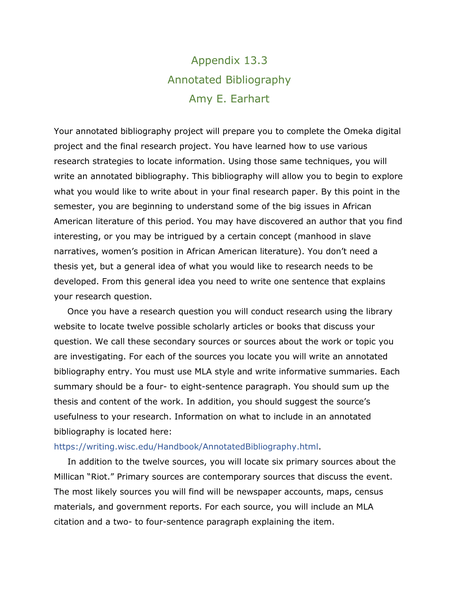## Appendix 13.3 Annotated Bibliography Amy E. Earhart

Your annotated bibliography project will prepare you to complete the Omeka digital project and the final research project. You have learned how to use various research strategies to locate information. Using those same techniques, you will write an annotated bibliography. This bibliography will allow you to begin to explore what you would like to write about in your final research paper. By this point in the semester, you are beginning to understand some of the big issues in African American literature of this period. You may have discovered an author that you find interesting, or you may be intrigued by a certain concept (manhood in slave narratives, women's position in African American literature). You don't need a thesis yet, but a general idea of what you would like to research needs to be developed. From this general idea you need to write one sentence that explains your research question.

Once you have a research question you will conduct research using the library website to locate twelve possible scholarly articles or books that discuss your question. We call these secondary sources or sources about the work or topic you are investigating. For each of the sources you locate you will write an annotated bibliography entry. You must use MLA style and write informative summaries. Each summary should be a four- to eight-sentence paragraph. You should sum up the thesis and content of the work. In addition, you should suggest the source's usefulness to your research. Information on what to include in an annotated bibliography is located here:

## [https://writing.wisc.edu/Handbook/AnnotatedBibliography.html.](https://writing.wisc.edu/Handbook/AnnotatedBibliography.html)

In addition to the twelve sources, you will locate six primary sources about the Millican "Riot." Primary sources are contemporary sources that discuss the event. The most likely sources you will find will be newspaper accounts, maps, census materials, and government reports. For each source, you will include an MLA citation and a two- to four-sentence paragraph explaining the item.